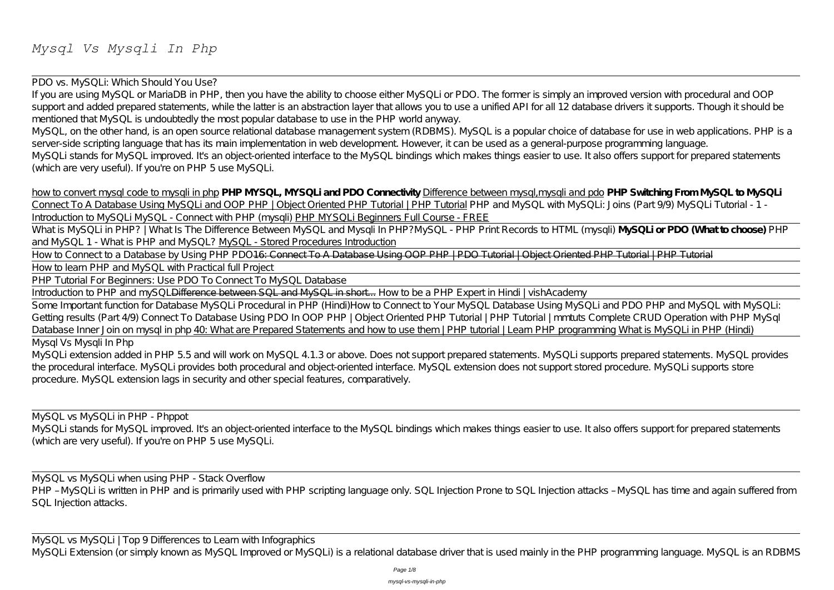PDO vs. MySQLi: Which Should You Use?

If you are using MySQL or MariaDB in PHP, then you have the ability to choose either MySQLi or PDO. The former is simply an improved version with procedural and OOP support and added prepared statements, while the latter is an abstraction layer that allows you to use a unified API for all 12 database drivers it supports. Though it should be mentioned that MySQL is undoubtedly the most popular database to use in the PHP world anyway.

What is MySQLi in PHP? | What Is The Difference Between MySQL and Mysqli In PHP?*MySQL - PHP Print Records to HTML (mysqli)* **MySQLi or PDO (What to choose)** PHP and MySQL 1 - What is PHP and MySQL? MySQL - Stored Procedures Introduction

MySQL, on the other hand, is an open source relational database management system (RDBMS). MySQL is a popular choice of database for use in web applications. PHP is a server-side scripting language that has its main implementation in web development. However, it can be used as a general-purpose programming language. MySQLi stands for MySQL improved. It's an object-oriented interface to the MySQL bindings which makes things easier to use. It also offers support for prepared statements (which are very useful). If you're on PHP 5 use MySQLi.

How to Connect to a Database by Using PHP PDO<del>16: Connect To A Database Using OOP PHP | PDO Tutorial | Object Oriented PHP Tutorial | PHP Tutorial</del> How to learn PHP and MySQL with Practical full Project

how to convert mysql code to mysqli in php **PHP MYSQL, MYSQLi and PDO Connectivity** Difference between mysql,mysqli and pdo **PHP Switching From MySQL to MySQLi** Connect To A Database Using MySQLi and OOP PHP | Object Oriented PHP Tutorial | PHP Tutorial PHP and MySQL with MySQLi: Joins (Part 9/9) MySQLi Tutorial - 1 -Introduction to MySQLi MySQL - Connect with PHP (mysqli) PHP MYSQLi Beginners Full Course - FREE

MySQL vs MySQLi when using PHP - Stack Overflow PHP - MySQLi is written in PHP and is primarily used with PHP scripting language only. SQL Injection Prone to SQL Injection attacks - MySQL has time and again suffered from SQL Injection attacks.

PHP Tutorial For Beginners: Use PDO To Connect To MySQL Database

Introduction to PHP and mySQLDifference between SQL and MySQL in short... *How to be a PHP Expert in Hindi | vishAcademy*

Some Important function for Database MySQLi Procedural in PHP (Hindi)*How to Connect to Your MySQL Database Using MySQLi and PDO PHP and MySQL with MySQLi: Getting results (Part 4/9) Connect To Database Using PDO In OOP PHP | Object Oriented PHP Tutorial | PHP Tutorial | mmtuts Complete CRUD Operation with PHP MySql Database Inner Join on mysql in php* 40: What are Prepared Statements and how to use them | PHP tutorial | Learn PHP programming What is MySQLi in PHP (Hindi) Mysql Vs Mysqli In Php

MySQLi extension added in PHP 5.5 and will work on MySQL 4.1.3 or above. Does not support prepared statements. MySQLi supports prepared statements. MySQL provides the procedural interface. MySQLi provides both procedural and object-oriented interface. MySQL extension does not support stored procedure. MySQLi supports store procedure. MySQL extension lags in security and other special features, comparatively.

MySQL vs MySQLi in PHP - Phppot MySQLi stands for MySQL improved. It's an object-oriented interface to the MySQL bindings which makes things easier to use. It also offers support for prepared statements (which are very useful). If you're on PHP 5 use MySQLi.

MySQL vs MySQLi | Top 9 Differences to Learn with Infographics MySQLi Extension (or simply known as MySQL Improved or MySQLi) is a relational database driver that is used mainly in the PHP programming language. MySQL is an RDBMS

Page 1/8

mysql-vs-mysqli-in-php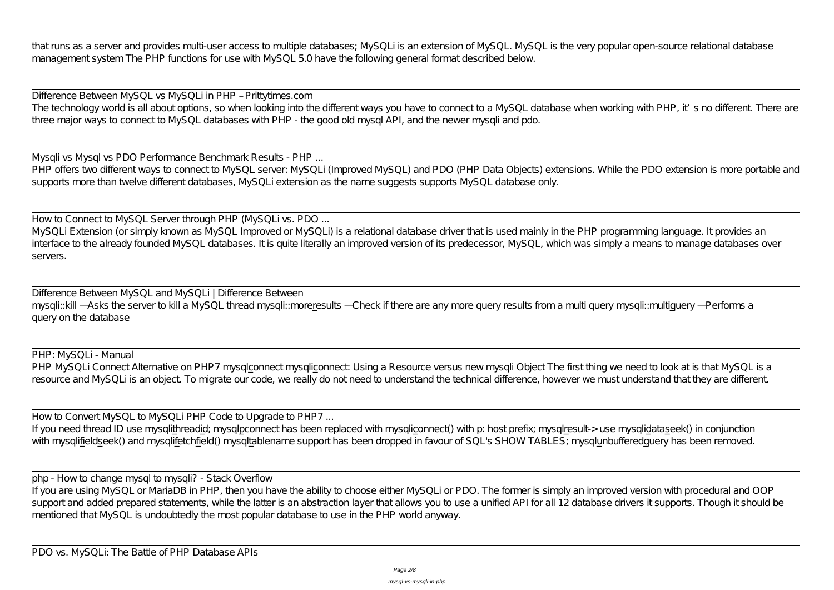that runs as a server and provides multi-user access to multiple databases; MySQLi is an extension of MySQL. MySQL is the very popular open-source relational database management system The PHP functions for use with MySQL 5.0 have the following general format described below.

Mysqli vs Mysql vs PDO Performance Benchmark Results - PHP ... PHP offers two different ways to connect to MySQL server: MySQLi (Improved MySQL) and PDO (PHP Data Objects) extensions. While the PDO extension is more portable and supports more than twelve different databases, MySQLi extension as the name suggests supports MySQL database only.

Difference Between MySQL vs MySQLi in PHP – Prittytimes.com The technology world is all about options, so when looking into the different ways you have to connect to a MySQL database when working with PHP, it's no different. There are three major ways to connect to MySQL databases with PHP - the good old mysql API, and the newer mysqli and pdo.

PHP: MySQLi - Manual PHP MySQLi Connect Alternative on PHP7 mysqlconnect mysqliconnect: Using a Resource versus new mysqli Object The first thing we need to look at is that MySQL is a resource and MySQLi is an object. To migrate our code, we really do not need to understand the technical difference, however we must understand that they are different.

How to Convert MySQL to MySQLi PHP Code to Upgrade to PHP7 ... If you need thread ID use mysqlithreadid; mysqlpconnect has been replaced with mysqliconnect() with p: host prefix; mysqlresult-> use mysqlidataseek() in conjunction with mysqlifieldseek() and mysqlifetchfield() mysqltablename support has been dropped in favour of SQL's SHOW TABLES; mysqlunbufferedquery has been removed.

How to Connect to MySQL Server through PHP (MySQLi vs. PDO ... MySQLi Extension (or simply known as MySQL Improved or MySQLi) is a relational database driver that is used mainly in the PHP programming language. It provides an interface to the already founded MySQL databases. It is quite literally an improved version of its predecessor, MySQL, which was simply a means to manage databases over servers.

If you are using MySQL or MariaDB in PHP, then you have the ability to choose either MySQLi or PDO. The former is simply an improved version with procedural and OOP support and added prepared statements, while the latter is an abstraction layer that allows you to use a unified API for all 12 database drivers it supports. Though it should be mentioned that MySQL is undoubtedly the most popular database to use in the PHP world anyway.

Difference Between MySQL and MySQLi | Difference Between mysqli::kill —Asks the server to kill a MySQL thread mysqli::moreresults —Check if there are any more query results from a multi query mysqli::multiquery — Performs a query on the database

php - How to change mysql to mysqli? - Stack Overflow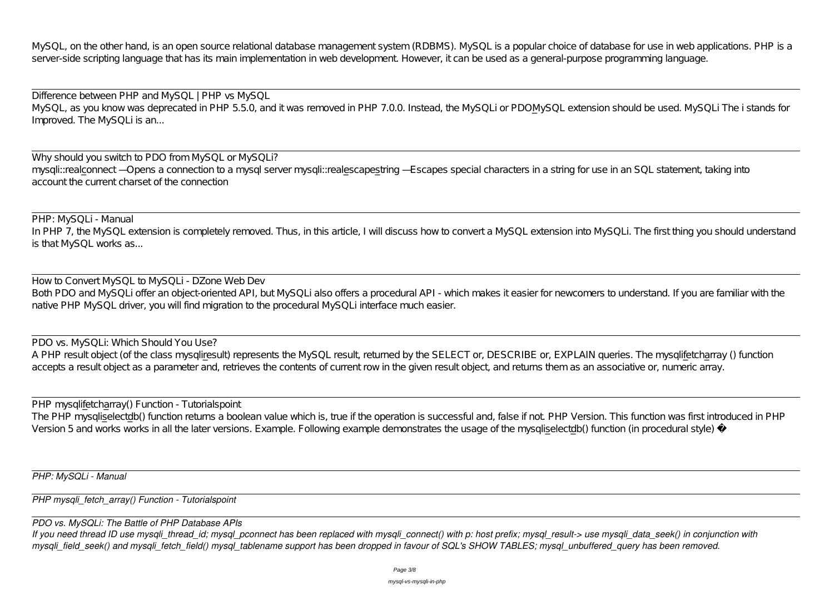MySQL, on the other hand, is an open source relational database management system (RDBMS). MySQL is a popular choice of database for use in web applications. PHP is a server-side scripting language that has its main implementation in web development. However, it can be used as a general-purpose programming language.

Why should you switch to PDO from MySQL or MySQLi? mysqli::realconnect – Opens a connection to a mysql server mysqli::realescapes tring – Escapes special characters in a string for use in an SQL statement, taking into account the current charset of the connection

Difference between PHP and MySQL | PHP vs MySQL MySQL, as you know was deprecated in PHP 5.5.0, and it was removed in PHP 7.0.0. Instead, the MySQLi or PDOMySQL extension should be used. MySQLi The i stands for Improved. The MySQLi is an...

PHP: MySQLi - Manual In PHP 7, the MySQL extension is completely removed. Thus, in this article, I will discuss how to convert a MySQL extension into MySQLi. The first thing you should understand is that MySQL works as...

*If you need thread ID use mysqli\_thread\_id; mysql\_pconnect has been replaced with mysqli\_connect() with p: host prefix; mysql\_result-> use mysqli\_data\_seek() in conjunction with mysqli* field seek() and mysqli fetch field() mysql tablename support has been dropped in favour of SQL's SHOW TABLES; mysql unbuffered query has been removed.

How to Convert MySQL to MySQLi - DZone Web Dev Both PDO and MySQLi offer an object-oriented API, but MySQLi also offers a procedural API - which makes it easier for newcomers to understand. If you are familiar with the native PHP MySQL driver, you will find migration to the procedural MySQLi interface much easier.

PDO vs. MySQLi: Which Should You Use? A PHP result object (of the class mysqliresult) represents the MySQL result, returned by the SELECT or, DESCRIBE or, EXPLAIN queries. The mysqlifetcharray () function accepts a result object as a parameter and, retrieves the contents of current row in the given result object, and returns them as an associative or, numeric array.

PHP mysqlifetcharray() Function - Tutorialspoint The PHP mysqliselectdb() function returns a boolean value which is, true if the operation is successful and, false if not. PHP Version. This function was first introduced in PHP Version 5 and works works in all the later versions. Example. Following example demonstrates the usage of the mysqliselectdb() function (in procedural style) −

*PHP: MySQLi - Manual*

*PHP mysqli\_fetch\_array() Function - Tutorialspoint*

*PDO vs. MySQLi: The Battle of PHP Database APIs*

mysql-vs-mysqli-in-php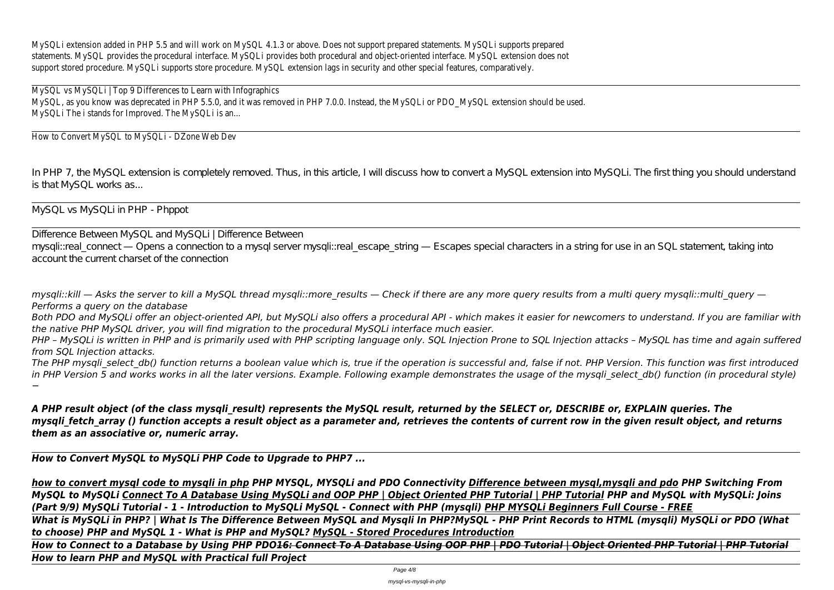MySQLi extension added in PHP 5.5 and will work on MySQL 4.1.3 or above. Does not support prepared statements. MySQLi supports prepared statements. MySQL provides the procedural interface. MySQLi provides both procedural and object-oriented interface. MySQL extension does not support stored procedure. MySQLi supports store procedure. MySQL extension lags in security and other special features, comparatively.

MySQL vs MySQLi | Top 9 Differences to Learn with Infographics MySQL, as you know was deprecated in PHP 5.5.0, and it was removed in PHP 7.0.0. Instead, the MySQLi or PDO\_MySQL extension should be used. MySQLi The i stands for Improved. The MySQLi is an...

How to Convert MySQL to MySQLi - DZone Web Dev

*mysqli::kill — Asks the server to kill a MySQL thread mysqli::more results — Check if there are any more query results from a multi query mysqli::multi query — Performs a query on the database*

In PHP 7, the MySQL extension is completely removed. Thus, in this article, I will discuss how to convert a MySQL extension into MySQLi. The first thing you should understand is that MySQL works as...

MySQL vs MySQLi in PHP - Phppot

Difference Between MySQL and MySQLi | Difference Between mysqli::real\_connect — Opens a connection to a mysql server mysqli::real\_escape\_string — Escapes special characters in a string for use in an SQL statement, taking into account the current charset of the connection

*Both PDO and MySQLi offer an object-oriented API, but MySQLi also offers a procedural API - which makes it easier for newcomers to understand. If you are familiar with the native PHP MySQL driver, you will find migration to the procedural MySQLi interface much easier.*

*PHP – MySQLi is written in PHP and is primarily used with PHP scripting language only. SQL Injection Prone to SQL Injection attacks – MySQL has time and again suffered from SQL Injection attacks.*

*The PHP mysqli\_select\_db() function returns a boolean value which is, true if the operation is successful and, false if not. PHP Version. This function was first introduced* in PHP Version 5 and works works in all the later versions. Example. Following example demonstrates the usage of the mysqli select db() function (in procedural style) *−*

*A PHP result object (of the class mysqli\_result) represents the MySQL result, returned by the SELECT or, DESCRIBE or, EXPLAIN queries. The mysgli fetch array () function accepts a result object as a parameter and, retrieves the contents of current row in the given result object, and returns them as an associative or, numeric array.*

*How to Convert MySQL to MySQLi PHP Code to Upgrade to PHP7 ...*

*how to convert mysql code to mysqli in php PHP MYSQL, MYSQLi and PDO Connectivity Difference between mysql,mysqli and pdo PHP Switching From MySQL to MySQLi Connect To A Database Using MySQLi and OOP PHP | Object Oriented PHP Tutorial | PHP Tutorial PHP and MySQL with MySQLi: Joins (Part 9/9) MySQLi Tutorial - 1 - Introduction to MySQLi MySQL - Connect with PHP (mysqli) PHP MYSQLi Beginners Full Course - FREE What is MySQLi in PHP? | What Is The Difference Between MySQL and Mysqli In PHP?MySQL - PHP Print Records to HTML (mysqli) MySQLi or PDO (What to choose) PHP and MySQL 1 - What is PHP and MySQL? MySQL - Stored Procedures Introduction How to Connect to a Database by Using PHP PDO16: Connect To A Database Using OOP PHP | PDO Tutorial | Object Oriented PHP Tutorial | PHP Tutorial How to learn PHP and MySQL with Practical full Project*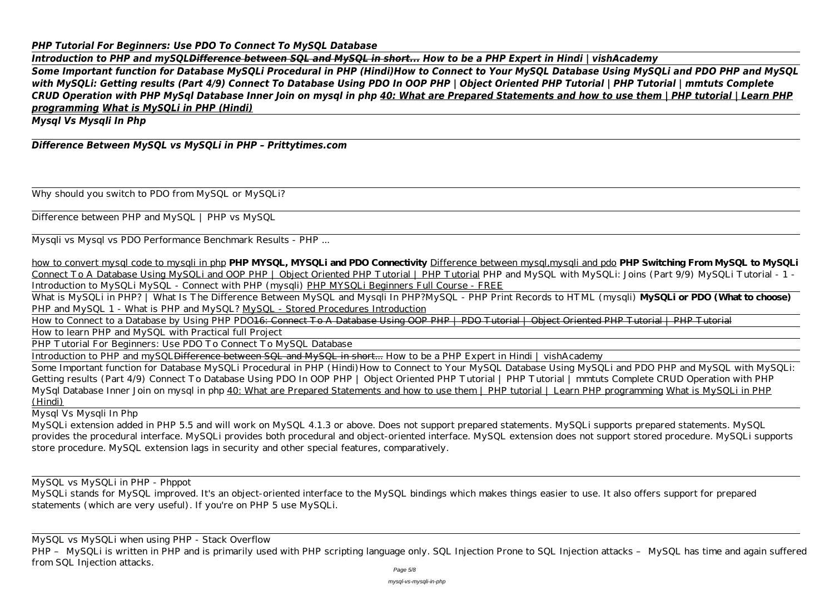## *PHP Tutorial For Beginners: Use PDO To Connect To MySQL Database*

*Introduction to PHP and mySQLDifference between SQL and MySQL in short... How to be a PHP Expert in Hindi | vishAcademy Some Important function for Database MySQLi Procedural in PHP (Hindi)How to Connect to Your MySQL Database Using MySQLi and PDO PHP and MySQL with MySQLi: Getting results (Part 4/9) Connect To Database Using PDO In OOP PHP | Object Oriented PHP Tutorial | PHP Tutorial | mmtuts Complete CRUD Operation with PHP MySql Database Inner Join on mysql in php 40: What are Prepared Statements and how to use them | PHP tutorial | Learn PHP programming What is MySQLi in PHP (Hindi)*

What is MySQLi in PHP? | What Is The Difference Between MySQL and Mysqli In PHP?*MySQL - PHP Print Records to HTML (mysqli)* **MySQLi or PDO (What to choose)** PHP and MySQL 1 - What is PHP and MySQL? MySQL - Stored Procedures Introduction

*Mysql Vs Mysqli In Php*

# *Difference Between MySQL vs MySQLi in PHP – Prittytimes.com*

Why should you switch to PDO from MySQL or MySQLi?

Difference between PHP and MySQL | PHP vs MySQL

Mysqli vs Mysql vs PDO Performance Benchmark Results - PHP ...

How to Connect to a Database by Using PHP PDO16: Connect To A Database Using OOP PHP | PDO Tutorial | Object Oriented PHP Tutorial | PHP Tutorial How to learn PHP and MySQL with Practical full Project

how to convert mysql code to mysqli in php **PHP MYSQL, MYSQLi and PDO Connectivity** Difference between mysql,mysqli and pdo **PHP Switching From MySQL to MySQLi** Connect To A Database Using MySQLi and OOP PHP | Object Oriented PHP Tutorial | PHP Tutorial PHP and MySQL with MySQLi: Joins (Part 9/9) MySQLi Tutorial - 1 -Introduction to MySQLi MySQL - Connect with PHP (mysqli) PHP MYSQLi Beginners Full Course - FREE

PHP - MySQLi is written in PHP and is primarily used with PHP scripting language only. SQL Injection Prone to SQL Injection attacks - MySQL has time and again suffered from SQL Injection attacks.

PHP Tutorial For Beginners: Use PDO To Connect To MySQL Database

Introduction to PHP and mySQLDifference between SQL and MySQL in short... *How to be a PHP Expert in Hindi | vishAcademy*

Some Important function for Database MySQLi Procedural in PHP (Hindi)*How to Connect to Your MySQL Database Using MySQLi and PDO PHP and MySQL with MySQLi: Getting results (Part 4/9) Connect To Database Using PDO In OOP PHP | Object Oriented PHP Tutorial | PHP Tutorial | mmtuts Complete CRUD Operation with PHP MySql Database Inner Join on mysql in php* 40: What are Prepared Statements and how to use them | PHP tutorial | Learn PHP programming What is MySQLi in PHP (Hindi)

Mysql Vs Mysqli In Php

MySQLi extension added in PHP 5.5 and will work on MySQL 4.1.3 or above. Does not support prepared statements. MySQLi supports prepared statements. MySQL provides the procedural interface. MySQLi provides both procedural and object-oriented interface. MySQL extension does not support stored procedure. MySQLi supports store procedure. MySQL extension lags in security and other special features, comparatively.

MySQL vs MySQLi in PHP - Phppot

MySQLi stands for MySQL improved. It's an object-oriented interface to the MySQL bindings which makes things easier to use. It also offers support for prepared statements (which are very useful). If you're on PHP 5 use MySQLi.

MySQL vs MySQLi when using PHP - Stack Overflow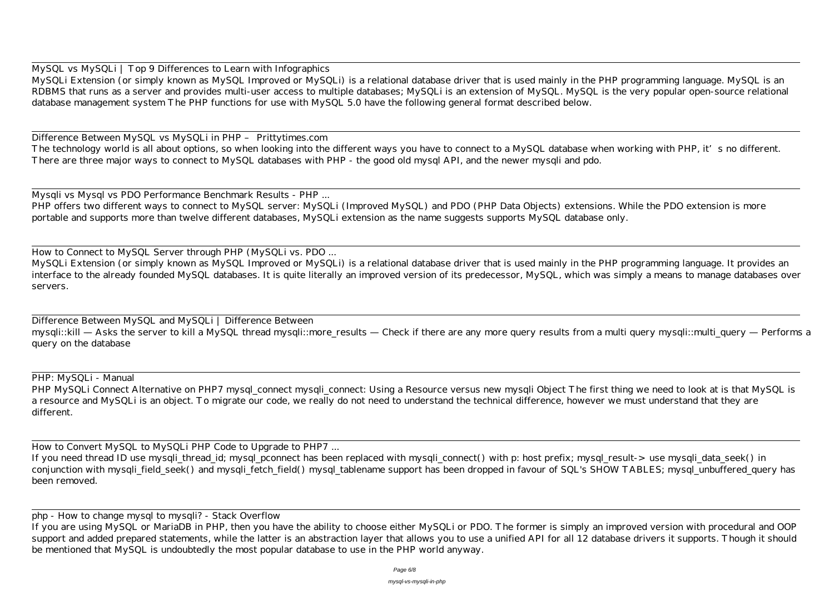MySQL vs MySQLi | Top 9 Differences to Learn with Infographics

Difference Between MySQL vs MySQLi in PHP – Prittytimes.com The technology world is all about options, so when looking into the different ways you have to connect to a MySQL database when working with PHP, it's no different. There are three major ways to connect to MySQL databases with PHP - the good old mysql API, and the newer mysqli and pdo.

MySQLi Extension (or simply known as MySQL Improved or MySQLi) is a relational database driver that is used mainly in the PHP programming language. MySQL is an RDBMS that runs as a server and provides multi-user access to multiple databases; MySQLi is an extension of MySQL. MySQL is the very popular open-source relational database management system The PHP functions for use with MySQL 5.0 have the following general format described below.

Mysqli vs Mysql vs PDO Performance Benchmark Results - PHP ... PHP offers two different ways to connect to MySQL server: MySQLi (Improved MySQL) and PDO (PHP Data Objects) extensions. While the PDO extension is more portable and supports more than twelve different databases, MySQLi extension as the name suggests supports MySQL database only.

PHP MySQLi Connect Alternative on PHP7 mysql\_connect mysqli\_connect: Using a Resource versus new mysqli Object The first thing we need to look at is that MySQL is a resource and MySQLi is an object. To migrate our code, we really do not need to understand the technical difference, however we must understand that they are different.

How to Connect to MySQL Server through PHP (MySQLi vs. PDO ...

MySQLi Extension (or simply known as MySQL Improved or MySQLi) is a relational database driver that is used mainly in the PHP programming language. It provides an interface to the already founded MySQL databases. It is quite literally an improved version of its predecessor, MySQL, which was simply a means to manage databases over servers.

Difference Between MySQL and MySQLi | Difference Between mysqli::kill — Asks the server to kill a MySQL thread mysqli::more\_results — Check if there are any more query results from a multi query mysqli::multi\_query — Performs a query on the database

PHP: MySQLi - Manual

How to Convert MySQL to MySQLi PHP Code to Upgrade to PHP7 ...

If you need thread ID use mysqli\_thread\_id; mysql\_pconnect has been replaced with mysqli\_connect() with p: host prefix; mysql\_result-> use mysqli\_data\_seek() in conjunction with mysqli field seek() and mysqli fetch field() mysql tablename support has been dropped in favour of SQL's SHOW TABLES; mysql\_unbuffered\_query has been removed.

php - How to change mysql to mysqli? - Stack Overflow

If you are using MySQL or MariaDB in PHP, then you have the ability to choose either MySQLi or PDO. The former is simply an improved version with procedural and OOP support and added prepared statements, while the latter is an abstraction layer that allows you to use a unified API for all 12 database drivers it supports. Though it should be mentioned that MySQL is undoubtedly the most popular database to use in the PHP world anyway.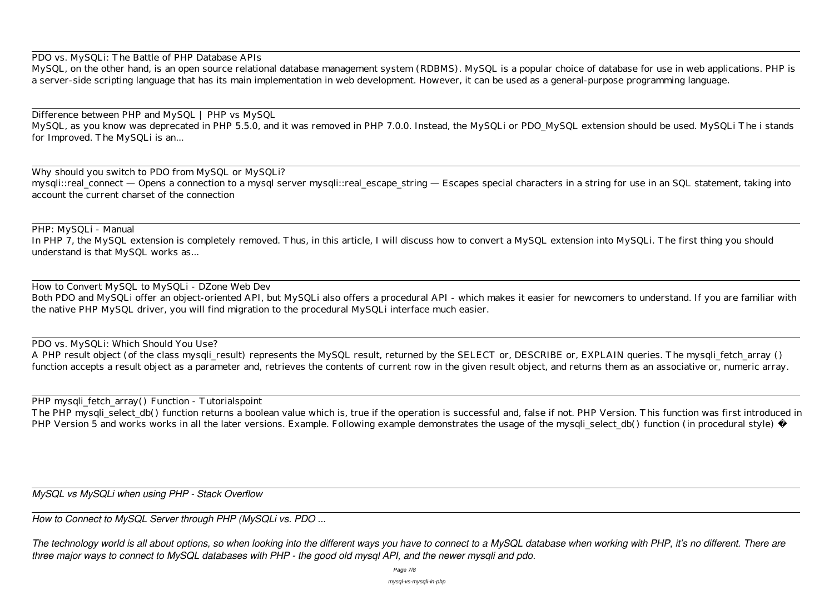PDO vs. MySQLi: The Battle of PHP Database APIs

Difference between PHP and MySQL | PHP vs MySQL MySQL, as you know was deprecated in PHP 5.5.0, and it was removed in PHP 7.0.0. Instead, the MySQLi or PDO\_MySQL extension should be used. MySQLi The i stands for Improved. The MySQLi is an...

MySQL, on the other hand, is an open source relational database management system (RDBMS). MySQL is a popular choice of database for use in web applications. PHP is a server-side scripting language that has its main implementation in web development. However, it can be used as a general-purpose programming language.

In PHP 7, the MySQL extension is completely removed. Thus, in this article, I will discuss how to convert a MySQL extension into MySQLi. The first thing you should understand is that MySQL works as...

A PHP result object (of the class mysqli\_result) represents the MySQL result, returned by the SELECT or, DESCRIBE or, EXPLAIN queries. The mysqli\_fetch\_array () function accepts a result object as a parameter and, retrieves the contents of current row in the given result object, and returns them as an associative or, numeric array.

Why should you switch to PDO from MySQL or MySQLi? mysqli::real\_connect — Opens a connection to a mysql server mysqli::real\_escape\_string — Escapes special characters in a string for use in an SQL statement, taking into account the current charset of the connection

PHP: MySQLi - Manual

How to Convert MySQL to MySQLi - DZone Web Dev Both PDO and MySQLi offer an object-oriented API, but MySQLi also offers a procedural API - which makes it easier for newcomers to understand. If you are familiar with the native PHP MySQL driver, you will find migration to the procedural MySQLi interface much easier.

PDO vs. MySQLi: Which Should You Use?

PHP mysqli\_fetch\_array() Function - Tutorialspoint

The PHP mysqli\_select\_db() function returns a boolean value which is, true if the operation is successful and, false if not. PHP Version. This function was first introduced in PHP Version 5 and works works in all the later versions. Example. Following example demonstrates the usage of the mysqli\_select\_db() function (in procedural style) −

*MySQL vs MySQLi when using PHP - Stack Overflow*

*How to Connect to MySQL Server through PHP (MySQLi vs. PDO ...*

*The technology world is all about options, so when looking into the different ways you have to connect to a MySQL database when working with PHP, it's no different. There are three major ways to connect to MySQL databases with PHP - the good old mysql API, and the newer mysqli and pdo.*

Page 7/8

mysql-vs-mysqli-in-php